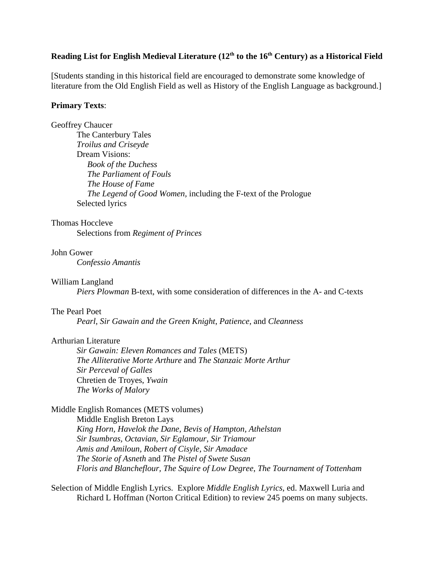# Reading List for English Medieval Literature (12<sup>th</sup> to the 16<sup>th</sup> Century) as a Historical Field

[Students standing in this historical field are encouraged to demonstrate some knowledge of literature from the Old English Field as well as History of the English Language as background.]

# **Primary Texts**:

# Geoffrey Chaucer

The Canterbury Tales *Troilus and Criseyde* Dream Visions: *Book of the Duchess The Parliament of Fouls The House of Fame The Legend of Good Women,* including the F-text of the Prologue Selected lyrics

# Thomas Hoccleve

Selections from *Regiment of Princes*

# John Gower

*Confessio Amantis*

# William Langland

*Piers Plowman* B-text, with some consideration of differences in the A- and C-texts

# The Pearl Poet

*Pearl*, *Sir Gawain and the Green Knight*, *Patience,* and *Cleanness*

# Arthurian Literature

*Sir Gawain: Eleven Romances and Tales* (METS) *The Alliterative Morte Arthure* and *The Stanzaic Morte Arthur Sir Perceval of Galles* Chretien de Troyes, *Ywain The Works of Malory*

# Middle English Romances (METS volumes)

Middle English Breton Lays *King Horn, Havelok the Dane, Bevis of Hampton, Athelstan Sir Isumbras, Octavian, Sir Eglamour, Sir Triamour Amis and Amiloun, Robert of Cisyle, Sir Amadace The Storie of Asneth* and *The Pistel of Swete Susan Floris and Blancheflour, The Squire of Low Degree*, *The Tournament of Tottenham*

Selection of Middle English Lyrics. Explore *Middle English Lyrics*, ed. Maxwell Luria and Richard L Hoffman (Norton Critical Edition) to review 245 poems on many subjects.